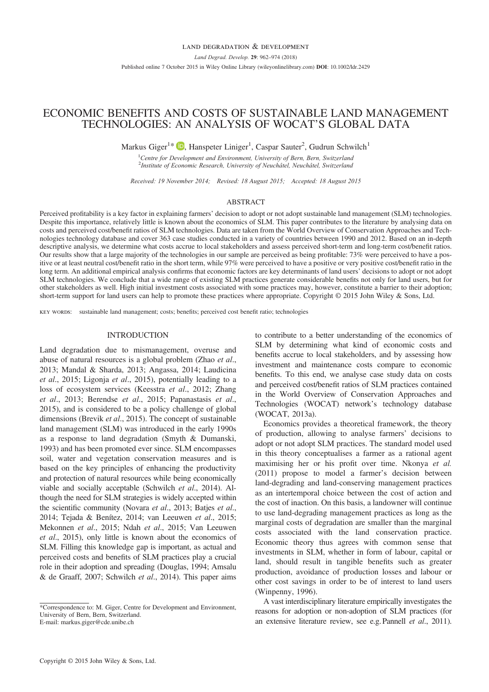*Land Degrad. Develop.* **29**: 962–974 (2018)

Published online 7 October 2015 in Wiley Online Library (wileyonlinelibrary.com) **DOI**: 10.1002/ldr.2429

# ECONOMIC BENEFITS AND COSTS OF SUSTAINABLE LAND MANAGEMENT TECHNOLOGIES: AN ANALYSIS OF WOCAT'S GLOBAL DATA

Markus Giger<sup>1\*</sup> D[,](http://orcid.org/0000-0002-2284-8032) Hanspeter Liniger<sup>1</sup>, Caspar Sauter<sup>2</sup>, Gudrun Schwilch<sup>1</sup>

<sup>1</sup> Centre for Development and Environment, University of Bern, Bern, Switzerland 2 *Institute of Economic Research, University of Neuchâtel, Neuchâtel, Switzerland*

*Received: 19 November 2014; Revised: 18 August 2015; Accepted: 18 August 2015*

### ABSTRACT

Perceived profitability is a key factor in explaining farmers' decision to adopt or not adopt sustainable land management (SLM) technologies. Despite this importance, relatively little is known about the economics of SLM. This paper contributes to the literature by analysing data on costs and perceived cost/benefit ratios of SLM technologies. Data are taken from the World Overview of Conservation Approaches and Technologies technology database and cover 363 case studies conducted in a variety of countries between 1990 and 2012. Based on an in-depth descriptive analysis, we determine what costs accrue to local stakeholders and assess perceived short-term and long-term cost/benefit ratios. Our results show that a large majority of the technologies in our sample are perceived as being profitable: 73% were perceived to have a positive or at least neutral cost/benefit ratio in the short term, while 97% were perceived to have a positive or very positive cost/benefit ratio in the long term. An additional empirical analysis confirms that economic factors are key determinants of land users' decisions to adopt or not adopt SLM technologies. We conclude that a wide range of existing SLM practices generate considerable benefits not only for land users, but for other stakeholders as well. High initial investment costs associated with some practices may, however, constitute a barrier to their adoption; short-term support for land users can help to promote these practices where appropriate. Copyright © 2015 John Wiley & Sons, Ltd.

key words: sustainable land management; costs; benefits; perceived cost benefit ratio; technologies

### INTRODUCTION

Land degradation due to mismanagement, overuse and abuse of natural resources is a global problem (Zhao *et al*., 2013; Mandal & Sharda, 2013; Angassa, 2014; Laudicina *et al*., 2015; Ligonja *et al*., 2015), potentially leading to a loss of ecosystem services (Keesstra *et al*., 2012; Zhang *et al*., 2013; Berendse *et al*., 2015; Papanastasis *et al*., 2015), and is considered to be a policy challenge of global dimensions (Brevik *et al*., 2015). The concept of sustainable land management (SLM) was introduced in the early 1990s as a response to land degradation (Smyth & Dumanski, 1993) and has been promoted ever since. SLM encompasses soil, water and vegetation conservation measures and is based on the key principles of enhancing the productivity and protection of natural resources while being economically viable and socially acceptable (Schwilch *et al*., 2014). Although the need for SLM strategies is widely accepted within the scientific community (Novara *et al*., 2013; Batjes *et al*., 2014; Tejada & Benítez, 2014; van Leeuwen *et al*., 2015; Mekonnen *et al*., 2015; Ndah *et al*., 2015; Van Leeuwen *et al*., 2015), only little is known about the economics of SLM. Filling this knowledge gap is important, as actual and perceived costs and benefits of SLM practices play a crucial role in their adoption and spreading (Douglas, 1994; Amsalu & de Graaff, 2007; Schwilch *et al*., 2014). This paper aims

to contribute to a better understanding of the economics of SLM by determining what kind of economic costs and benefits accrue to local stakeholders, and by assessing how investment and maintenance costs compare to economic benefits. To this end, we analyse case study data on costs and perceived cost/benefit ratios of SLM practices contained in the World Overview of Conservation Approaches and Technologies (WOCAT) network's technology database (WOCAT, 2013a).

Economics provides a theoretical framework, the theory of production, allowing to analyse farmers' decisions to adopt or not adopt SLM practices. The standard model used in this theory conceptualises a farmer as a rational agent maximising her or his profit over time. Nkonya *et al.* (2011) propose to model a farmer's decision between land-degrading and land-conserving management practices as an intertemporal choice between the cost of action and the cost of inaction. On this basis, a landowner will continue to use land-degrading management practices as long as the marginal costs of degradation are smaller than the marginal costs associated with the land conservation practice. Economic theory thus agrees with common sense that investments in SLM, whether in form of labour, capital or land, should result in tangible benefits such as greater production, avoidance of production losses and labour or other cost savings in order to be of interest to land users (Winpenny, 1996).

A vast interdisciplinary literature empirically investigates the reasons for adoption or non-adoption of SLM practices (for an extensive literature review, see e.g. Pannell *et al*., 2011).

<sup>\*</sup>Correspondence to: M. Giger, Centre for Development and Environment, University of Bern, Bern, Switzerland. E-mail: markus.giger@cde.unibe.ch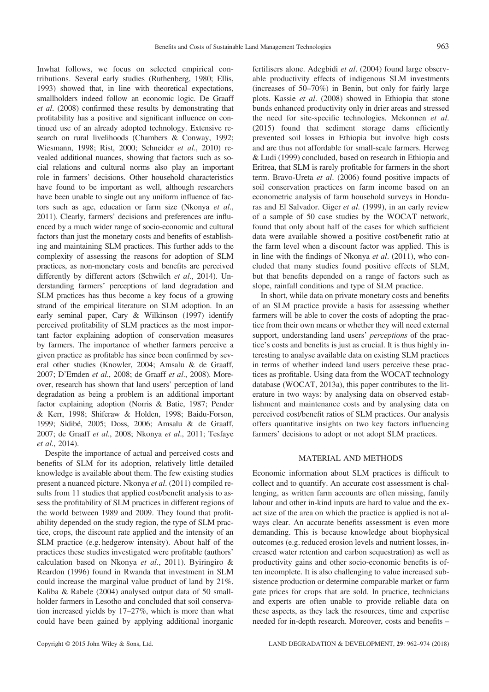Inwhat follows, we focus on selected empirical contributions. Several early studies (Ruthenberg, 1980; Ellis, 1993) showed that, in line with theoretical expectations, smallholders indeed follow an economic logic. De Graaff *et al*. (2008) confirmed these results by demonstrating that profitability has a positive and significant influence on continued use of an already adopted technology. Extensive research on rural livelihoods (Chambers & Conway, 1992; Wiesmann, 1998; Rist, 2000; Schneider *et al*., 2010) revealed additional nuances, showing that factors such as social relations and cultural norms also play an important role in farmers' decisions. Other household characteristics have found to be important as well, although researchers have been unable to single out any uniform influence of factors such as age, education or farm size (Nkonya *et al*., 2011). Clearly, farmers' decisions and preferences are influenced by a much wider range of socio-economic and cultural factors than just the monetary costs and benefits of establishing and maintaining SLM practices. This further adds to the complexity of assessing the reasons for adoption of SLM practices, as non-monetary costs and benefits are perceived differently by different actors (Schwilch *et al*., 2014). Understanding farmers' perceptions of land degradation and SLM practices has thus become a key focus of a growing strand of the empirical literature on SLM adoption. In an early seminal paper, Cary & Wilkinson (1997) identify perceived profitability of SLM practices as the most important factor explaining adoption of conservation measures by farmers. The importance of whether farmers perceive a given practice as profitable has since been confirmed by several other studies (Knowler, 2004; Amsalu & de Graaff, 2007; D'Emden *et al*., 2008; de Graaff *et al*., 2008). Moreover, research has shown that land users' perception of land degradation as being a problem is an additional important factor explaining adoption (Norris & Batie, 1987; Pender & Kerr, 1998; Shiferaw & Holden, 1998; Baidu-Forson, 1999; Sidibé, 2005; Doss, 2006; Amsalu & de Graaff, 2007; de Graaff *et al*., 2008; Nkonya *et al*., 2011; Tesfaye *et al*., 2014).

Despite the importance of actual and perceived costs and benefits of SLM for its adoption, relatively little detailed knowledge is available about them. The few existing studies present a nuanced picture. Nkonya *et al*. (2011) compiled results from 11 studies that applied cost/benefit analysis to assess the profitability of SLM practices in different regions of the world between 1989 and 2009. They found that profitability depended on the study region, the type of SLM practice, crops, the discount rate applied and the intensity of an SLM practice (e.g. hedgerow intensity). About half of the practices these studies investigated were profitable (authors' calculation based on Nkonya *et al*., 2011). Byiringiro & Reardon (1996) found in Rwanda that investment in SLM could increase the marginal value product of land by 21%. Kaliba & Rabele (2004) analysed output data of 50 smallholder farmers in Lesotho and concluded that soil conservation increased yields by 17–27%, which is more than what could have been gained by applying additional inorganic fertilisers alone. Adegbidi *et al*. (2004) found large observable productivity effects of indigenous SLM investments (increases of 50–70%) in Benin, but only for fairly large plots. Kassie *et al*. (2008) showed in Ethiopia that stone bunds enhanced productivity only in drier areas and stressed the need for site-specific technologies. Mekonnen *et al*. (2015) found that sediment storage dams efficiently prevented soil losses in Ethiopia but involve high costs and are thus not affordable for small-scale farmers. Herweg & Ludi (1999) concluded, based on research in Ethiopia and Eritrea, that SLM is rarely profitable for farmers in the short term. Bravo-Ureta *et al*. (2006) found positive impacts of soil conservation practices on farm income based on an econometric analysis of farm household surveys in Honduras and El Salvador. Giger *et al*. (1999), in an early review of a sample of 50 case studies by the WOCAT network, found that only about half of the cases for which sufficient data were available showed a positive cost/benefit ratio at the farm level when a discount factor was applied. This is in line with the findings of Nkonya *et al*. (2011), who concluded that many studies found positive effects of SLM, but that benefits depended on a range of factors such as slope, rainfall conditions and type of SLM practice.

In short, while data on private monetary costs and benefits of an SLM practice provide a basis for assessing whether farmers will be able to cover the costs of adopting the practice from their own means or whether they will need external support, understanding land users' *perceptions* of the practice's costs and benefits is just as crucial. It is thus highly interesting to analyse available data on existing SLM practices in terms of whether indeed land users perceive these practices as profitable. Using data from the WOCAT technology database (WOCAT, 2013a), this paper contributes to the literature in two ways: by analysing data on observed establishment and maintenance costs and by analysing data on perceived cost/benefit ratios of SLM practices. Our analysis offers quantitative insights on two key factors influencing farmers' decisions to adopt or not adopt SLM practices.

# MATERIAL AND METHODS

Economic information about SLM practices is difficult to collect and to quantify. An accurate cost assessment is challenging, as written farm accounts are often missing, family labour and other in-kind inputs are hard to value and the exact size of the area on which the practice is applied is not always clear. An accurate benefits assessment is even more demanding. This is because knowledge about biophysical outcomes (e.g. reduced erosion levels and nutrient losses, increased water retention and carbon sequestration) as well as productivity gains and other socio-economic benefits is often incomplete. It is also challenging to value increased subsistence production or determine comparable market or farm gate prices for crops that are sold. In practice, technicians and experts are often unable to provide reliable data on these aspects, as they lack the resources, time and expertise needed for in-depth research. Moreover, costs and benefits –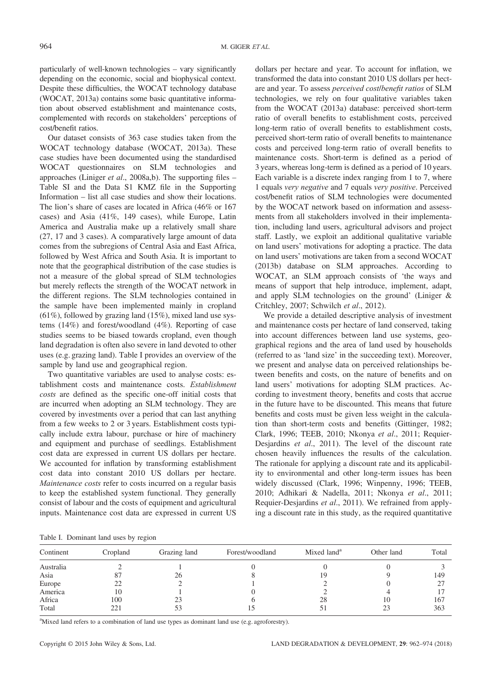particularly of well-known technologies – vary significantly depending on the economic, social and biophysical context. Despite these difficulties, the WOCAT technology database (WOCAT, 2013a) contains some basic quantitative information about observed establishment and maintenance costs, complemented with records on stakeholders' perceptions of cost/benefit ratios.

Our dataset consists of 363 case studies taken from the WOCAT technology database (WOCAT, 2013a). These case studies have been documented using the standardised WOCAT questionnaires on SLM technologies and approaches (Liniger *et al*., 2008a,b). The supporting files – Table SI and the Data S1 KMZ file in the Supporting Information – list all case studies and show their locations. The lion's share of cases are located in Africa (46% or 167 cases) and Asia (41%, 149 cases), while Europe, Latin America and Australia make up a relatively small share (27, 17 and 3 cases). A comparatively large amount of data comes from the subregions of Central Asia and East Africa, followed by West Africa and South Asia. It is important to note that the geographical distribution of the case studies is not a measure of the global spread of SLM technologies but merely reflects the strength of the WOCAT network in the different regions. The SLM technologies contained in the sample have been implemented mainly in cropland (61%), followed by grazing land (15%), mixed land use systems (14%) and forest/woodland (4%). Reporting of case studies seems to be biased towards cropland, even though land degradation is often also severe in land devoted to other uses (e.g. grazing land). Table I provides an overview of the sample by land use and geographical region.

Two quantitative variables are used to analyse costs: establishment costs and maintenance costs. *Establishment costs* are defined as the specific one-off initial costs that are incurred when adopting an SLM technology. They are covered by investments over a period that can last anything from a few weeks to 2 or 3 years. Establishment costs typically include extra labour, purchase or hire of machinery and equipment and purchase of seedlings. Establishment cost data are expressed in current US dollars per hectare. We accounted for inflation by transforming establishment cost data into constant 2010 US dollars per hectare. *Maintenance costs* refer to costs incurred on a regular basis to keep the established system functional. They generally consist of labour and the costs of equipment and agricultural inputs. Maintenance cost data are expressed in current US

dollars per hectare and year. To account for inflation, we transformed the data into constant 2010 US dollars per hectare and year. To assess *perceived cost*/*benefit ratios* of SLM technologies, we rely on four qualitative variables taken from the WOCAT (2013a) database: perceived short-term ratio of overall benefits to establishment costs, perceived long-term ratio of overall benefits to establishment costs, perceived short-term ratio of overall benefits to maintenance costs and perceived long-term ratio of overall benefits to maintenance costs. Short-term is defined as a period of 3 years, whereas long-term is defined as a period of 10 years. Each variable is a discrete index ranging from 1 to 7, where 1 equals *very negative* and 7 equals *very positive*. Perceived cost/benefit ratios of SLM technologies were documented by the WOCAT network based on information and assessments from all stakeholders involved in their implementation, including land users, agricultural advisors and project staff. Lastly, we exploit an additional qualitative variable on land users' motivations for adopting a practice. The data on land users' motivations are taken from a second WOCAT (2013b) database on SLM approaches. According to WOCAT, an SLM approach consists of 'the ways and means of support that help introduce, implement, adapt, and apply SLM technologies on the ground' (Liniger & Critchley, 2007; Schwilch *et al*., 2012).

We provide a detailed descriptive analysis of investment and maintenance costs per hectare of land conserved, taking into account differences between land use systems, geographical regions and the area of land used by households (referred to as 'land size' in the succeeding text). Moreover, we present and analyse data on perceived relationships between benefits and costs, on the nature of benefits and on land users' motivations for adopting SLM practices. According to investment theory, benefits and costs that accrue in the future have to be discounted. This means that future benefits and costs must be given less weight in the calculation than short-term costs and benefits (Gittinger, 1982; Clark, 1996; TEEB, 2010; Nkonya *et al*., 2011; Requier-Desjardins *et al*., 2011). The level of the discount rate chosen heavily influences the results of the calculation. The rationale for applying a discount rate and its applicability to environmental and other long-term issues has been widely discussed (Clark, 1996; Winpenny, 1996; TEEB, 2010; Adhikari & Nadella, 2011; Nkonya *et al*., 2011; Requier-Desjardins *et al*., 2011). We refrained from applying a discount rate in this study, as the required quantitative

Table I. Dominant land uses by region

| Continent | Cropland | Grazing land | Forest/woodland | Mixed land <sup>a</sup> | Other land | Total |
|-----------|----------|--------------|-----------------|-------------------------|------------|-------|
| Australia |          |              |                 |                         |            |       |
| Asia      | 87       | 26           |                 | Q                       |            | 149   |
| Europe    | 22       |              |                 |                         |            |       |
| America   | 10       |              |                 |                         |            |       |
| Africa    | 100      | 23           |                 | 28                      | 10         | 167   |
| Total     | 221      |              |                 |                         |            | 363   |

<sup>a</sup>Mixed land refers to a combination of land use types as dominant land use (e.g. agroforestry).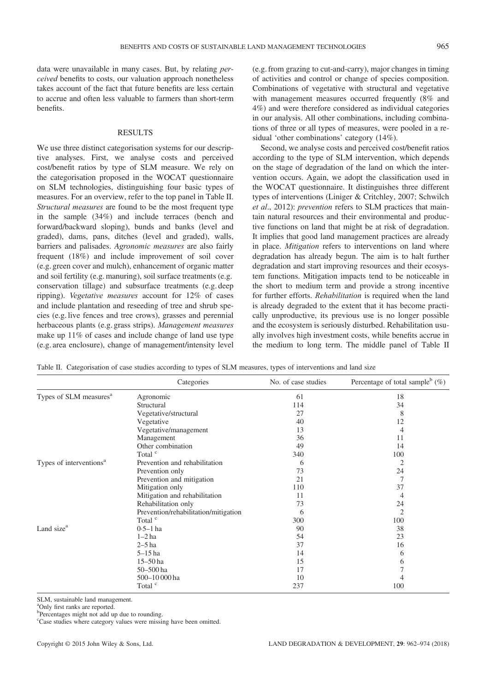data were unavailable in many cases. But, by relating *perceived* benefits to costs, our valuation approach nonetheless takes account of the fact that future benefits are less certain to accrue and often less valuable to farmers than short-term benefits.

## **RESULTS**

We use three distinct categorisation systems for our descriptive analyses. First, we analyse costs and perceived cost/benefit ratios by type of SLM measure. We rely on the categorisation proposed in the WOCAT questionnaire on SLM technologies, distinguishing four basic types of measures. For an overview, refer to the top panel in Table II. *Structural measures* are found to be the most frequent type in the sample (34%) and include terraces (bench and forward/backward sloping), bunds and banks (level and graded), dams, pans, ditches (level and graded), walls, barriers and palisades. *Agronomic measures* are also fairly frequent (18%) and include improvement of soil cover (e.g. green cover and mulch), enhancement of organic matter and soil fertility (e.g. manuring), soil surface treatments (e.g. conservation tillage) and subsurface treatments (e.g. deep ripping). *Vegetative measures* account for 12% of cases and include plantation and reseeding of tree and shrub species (e.g. live fences and tree crows), grasses and perennial herbaceous plants (e.g. grass strips). *Management measures* make up 11% of cases and include change of land use type (e.g. area enclosure), change of management/intensity level (e.g. from grazing to cut-and-carry), major changes in timing of activities and control or change of species composition. Combinations of vegetative with structural and vegetative with management measures occurred frequently (8% and 4%) and were therefore considered as individual categories in our analysis. All other combinations, including combinations of three or all types of measures, were pooled in a residual 'other combinations' category (14%).

Second, we analyse costs and perceived cost/benefit ratios according to the type of SLM intervention, which depends on the stage of degradation of the land on which the intervention occurs. Again, we adopt the classification used in the WOCAT questionnaire. It distinguishes three different types of interventions (Liniger & Critchley, 2007; Schwilch *et al*., 2012): *prevention* refers to SLM practices that maintain natural resources and their environmental and productive functions on land that might be at risk of degradation. It implies that good land management practices are already in place. *Mitigation* refers to interventions on land where degradation has already begun. The aim is to halt further degradation and start improving resources and their ecosystem functions. Mitigation impacts tend to be noticeable in the short to medium term and provide a strong incentive for further efforts. *Rehabilitation* is required when the land is already degraded to the extent that it has become practically unproductive, its previous use is no longer possible and the ecosystem is seriously disturbed. Rehabilitation usually involves high investment costs, while benefits accrue in the medium to long term. The middle panel of Table II

Table II. Categorisation of case studies according to types of SLM measures, types of interventions and land size

|                                     | Categories                           | No. of case studies | Percentage of total sample <sup>b</sup> $(\%)$ |
|-------------------------------------|--------------------------------------|---------------------|------------------------------------------------|
| Types of SLM measures <sup>a</sup>  | Agronomic                            | 61                  | 18                                             |
|                                     | Structural                           | 114                 | 34                                             |
|                                     | Vegetative/structural                | 27                  | 8                                              |
|                                     | Vegetative                           | 40                  | 12                                             |
|                                     | Vegetative/management                | 13                  | 4                                              |
|                                     | Management                           | 36                  | 11                                             |
|                                     | Other combination                    | 49                  | 14                                             |
|                                     | Total <sup>c</sup>                   | 340                 | 100                                            |
| Types of interventions <sup>a</sup> | Prevention and rehabilitation        | 6                   | 2                                              |
|                                     | Prevention only                      | 73                  | 24                                             |
|                                     | Prevention and mitigation            | 21                  | $\overline{7}$                                 |
|                                     | Mitigation only                      | 110                 | 37                                             |
|                                     | Mitigation and rehabilitation        | 11                  | 4                                              |
|                                     | Rehabilitation only                  | 73                  | 24                                             |
|                                     | Prevention/rehabilitation/mitigation | 6                   | 2                                              |
|                                     | Total <sup>c</sup>                   | 300                 | 100                                            |
| Land size <sup>a</sup>              | $0.5 - 1$ ha                         | 90                  | 38                                             |
|                                     | $1-2$ ha                             | 54                  | 23                                             |
|                                     | $2-5$ ha                             | 37                  | 16                                             |
|                                     | $5-15$ ha                            | 14                  | 6                                              |
|                                     | $15 - 50$ ha                         | 15                  | 6                                              |
|                                     | 50-500 ha                            | 17                  |                                                |
|                                     | 500-10000 ha                         | 10                  |                                                |
|                                     | Total <sup>c</sup>                   | 237                 | 100                                            |

SLM, sustainable land management.

<sup>a</sup>Only first ranks are reported.

<sup>b</sup>Percentages might not add up due to rounding.

<sup>c</sup>Case studies where category values were missing have been omitted.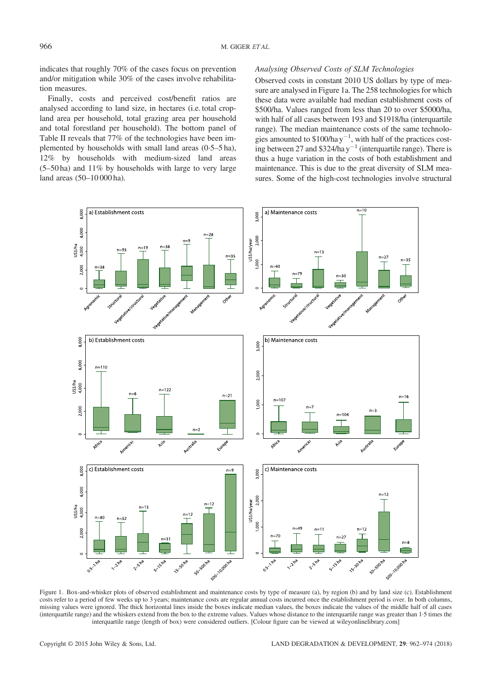indicates that roughly 70% of the cases focus on prevention and/or mitigation while 30% of the cases involve rehabilitation measures.

Finally, costs and perceived cost/benefit ratios are analysed according to land size, in hectares (i.e. total cropland area per household, total grazing area per household and total forestland per household). The bottom panel of Table II reveals that 77% of the technologies have been implemented by households with small land areas (0·5–5 ha), 12% by households with medium-sized land areas (5–50 ha) and 11% by households with large to very large land areas (50–10 000 ha).

## *Analysing Observed Costs of SLM Technologies*

Observed costs in constant 2010 US dollars by type of measure are analysed in Figure 1a. The 258 technologies for which these data were available had median establishment costs of \$500/ha. Values ranged from less than 20 to over \$5000/ha, with half of all cases between 193 and \$1918/ha (interquartile range). The median maintenance costs of the same technologies amounted to  $$100/ha y^{-1}$ , with half of the practices costing between 27 and \$324/ha  $y^{-1}$  (interquartile range). There is thus a huge variation in the costs of both establishment and maintenance. This is due to the great diversity of SLM measures. Some of the high-cost technologies involve structural



Figure 1. Box-and-whisker plots of observed establishment and maintenance costs by type of measure (a), by region (b) and by land size (c). Establishment costs refer to a period of few weeks up to 3 years; maintenance costs are regular annual costs incurred once the establishment period is over. In both columns, missing values were ignored. The thick horizontal lines inside the boxes indicate median values, the boxes indicate the values of the middle half of all cases (interquartile range) and the whiskers extend from the box to the extreme values. Values whose distance to the interquartile range was greater than 1·5 times the interquartile range (length of box) were considered outliers. [Colour figure can be viewed at [wileyonlinelibrary.com\]](http://wileyonlinelibrary.com)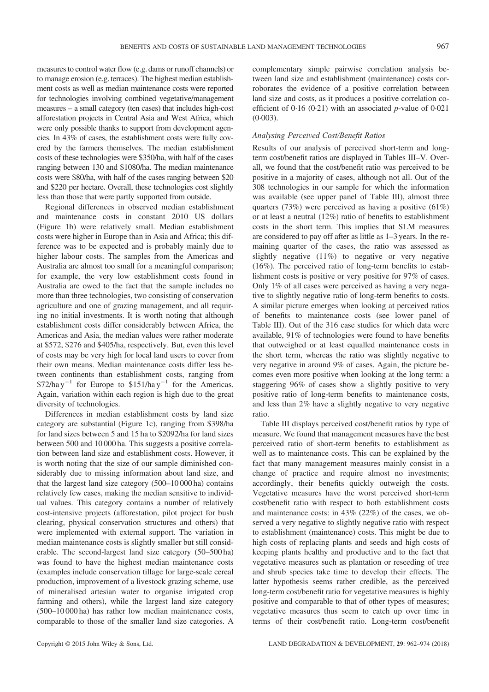measures to control water flow (e.g. dams or runoff channels) or to manage erosion (e.g. terraces). The highest median establishment costs as well as median maintenance costs were reported for technologies involving combined vegetative/management measures – a small category (ten cases) that includes high-cost afforestation projects in Central Asia and West Africa, which were only possible thanks to support from development agencies. In 43% of cases, the establishment costs were fully covered by the farmers themselves. The median establishment costs of these technologies were \$350/ha, with half of the cases ranging between 130 and \$1080/ha. The median maintenance costs were \$80/ha, with half of the cases ranging between \$20 and \$220 per hectare. Overall, these technologies cost slightly less than those that were partly supported from outside.

Regional differences in observed median establishment and maintenance costs in constant 2010 US dollars (Figure 1b) were relatively small. Median establishment costs were higher in Europe than in Asia and Africa; this difference was to be expected and is probably mainly due to higher labour costs. The samples from the Americas and Australia are almost too small for a meaningful comparison; for example, the very low establishment costs found in Australia are owed to the fact that the sample includes no more than three technologies, two consisting of conservation agriculture and one of grazing management, and all requiring no initial investments. It is worth noting that although establishment costs differ considerably between Africa, the Americas and Asia, the median values were rather moderate at \$572, \$276 and \$405/ha, respectively. But, even this level of costs may be very high for local land users to cover from their own means. Median maintenance costs differ less between continents than establishment costs, ranging from  $$72/ha y^{-1}$  for Europe to  $$151/ha y^{-1}$  for the Americas. Again, variation within each region is high due to the great diversity of technologies.

Differences in median establishment costs by land size category are substantial (Figure 1c), ranging from \$398/ha for land sizes between 5 and 15 ha to \$2092/ha for land sizes between 500 and 10 000 ha. This suggests a positive correlation between land size and establishment costs. However, it is worth noting that the size of our sample diminished considerably due to missing information about land size, and that the largest land size category (500–10 000 ha) contains relatively few cases, making the median sensitive to individual values. This category contains a number of relatively cost-intensive projects (afforestation, pilot project for bush clearing, physical conservation structures and others) that were implemented with external support. The variation in median maintenance costs is slightly smaller but still considerable. The second-largest land size category (50–500 ha) was found to have the highest median maintenance costs (examples include conservation tillage for large-scale cereal production, improvement of a livestock grazing scheme, use of mineralised artesian water to organise irrigated crop farming and others), while the largest land size category (500–10 000 ha) has rather low median maintenance costs, comparable to those of the smaller land size categories. A complementary simple pairwise correlation analysis between land size and establishment (maintenance) costs corroborates the evidence of a positive correlation between land size and costs, as it produces a positive correlation coefficient of 0·16 (0·21) with an associated *p*-value of 0·021  $(0.003)$ .

### *Analysing Perceived Cost/Benefit Ratios*

Results of our analysis of perceived short-term and longterm cost/benefit ratios are displayed in Tables III–V. Overall, we found that the cost/benefit ratio was perceived to be positive in a majority of cases, although not all. Out of the 308 technologies in our sample for which the information was available (see upper panel of Table III), almost three quarters (73%) were perceived as having a positive (61%) or at least a neutral (12%) ratio of benefits to establishment costs in the short term. This implies that SLM measures are considered to pay off after as little as 1–3 years. In the remaining quarter of the cases, the ratio was assessed as slightly negative (11%) to negative or very negative (16%). The perceived ratio of long-term benefits to establishment costs is positive or very positive for 97% of cases. Only 1% of all cases were perceived as having a very negative to slightly negative ratio of long-term benefits to costs. A similar picture emerges when looking at perceived ratios of benefits to maintenance costs (see lower panel of Table III). Out of the 316 case studies for which data were available, 91% of technologies were found to have benefits that outweighed or at least equalled maintenance costs in the short term, whereas the ratio was slightly negative to very negative in around 9% of cases. Again, the picture becomes even more positive when looking at the long term: a staggering 96% of cases show a slightly positive to very positive ratio of long-term benefits to maintenance costs, and less than 2% have a slightly negative to very negative ratio.

Table III displays perceived cost/benefit ratios by type of measure. We found that management measures have the best perceived ratio of short-term benefits to establishment as well as to maintenance costs. This can be explained by the fact that many management measures mainly consist in a change of practice and require almost no investments; accordingly, their benefits quickly outweigh the costs. Vegetative measures have the worst perceived short-term cost/benefit ratio with respect to both establishment costs and maintenance costs: in 43% (22%) of the cases, we observed a very negative to slightly negative ratio with respect to establishment (maintenance) costs. This might be due to high costs of replacing plants and seeds and high costs of keeping plants healthy and productive and to the fact that vegetative measures such as plantation or reseeding of tree and shrub species take time to develop their effects. The latter hypothesis seems rather credible, as the perceived long-term cost/benefit ratio for vegetative measures is highly positive and comparable to that of other types of measures; vegetative measures thus seem to catch up over time in terms of their cost/benefit ratio. Long-term cost/benefit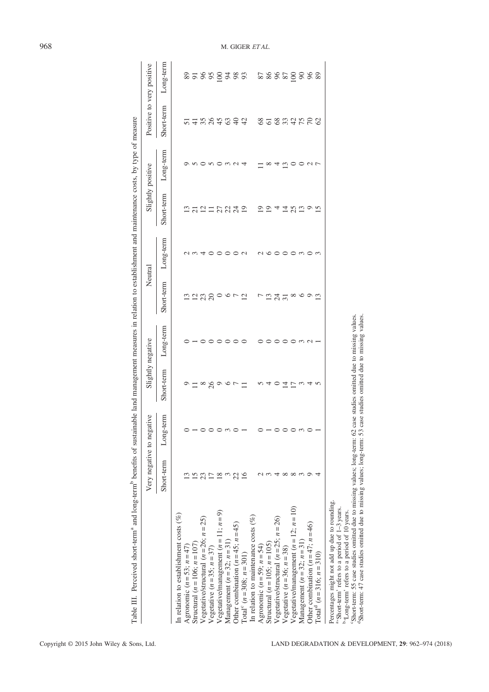|                                                                                                             |            | Very negative to negative |                | Slightly negative                           | Neutral         |                   |                 | Slightly positive |                | Positive to very positive |
|-------------------------------------------------------------------------------------------------------------|------------|---------------------------|----------------|---------------------------------------------|-----------------|-------------------|-----------------|-------------------|----------------|---------------------------|
|                                                                                                             | Short-term | Long-term                 | Short-term     | Long-term                                   | Short-term      | Long-term         | Short-term      | Long-term         | Short-term     | Long-term                 |
| In relation to establishment costs $(\%$ )                                                                  |            |                           |                |                                             |                 |                   |                 |                   |                |                           |
| Agronomic $(n = 53; n = 47)$                                                                                |            |                           |                |                                             |                 |                   |                 |                   | 5              |                           |
| Structural $(n = 106; n = 107)$                                                                             |            |                           |                |                                             |                 | √ ო               | $\overline{c}$  |                   | $\frac{1}{4}$  |                           |
| Vegetative/structural $(n = 26; n = 25)$                                                                    | 23         |                           |                |                                             |                 | ₹                 |                 |                   |                |                           |
| Vegetative $(n = 35; n = 37)$                                                                               |            |                           |                |                                             |                 |                   |                 | S                 |                |                           |
| Vegetative/management $(n = 11; n = 9)$                                                                     | $\approx$  |                           | $\frac{8}{20}$ |                                             | 132007          |                   | 215232          |                   | 58469          | 25889                     |
| Management $(n = 32; n = 31)$                                                                               |            |                           | $\circ$        |                                             |                 |                   |                 | $\epsilon$        |                |                           |
| Other combination ( $n = 45$ ; $n = 45$ )                                                                   |            |                           | $\mathbf{r}$   |                                             |                 |                   |                 | $\sim$            |                |                           |
| $Totalc (n = 308; n = 301)$                                                                                 |            |                           |                | ○                                           | $\overline{12}$ | $\mathbf{\Omega}$ |                 |                   | $\overline{4}$ |                           |
| In relation to maintenance costs $(\%$                                                                      |            |                           |                |                                             |                 |                   |                 |                   |                |                           |
| Agronomic ( $n = 59$ ; $n = 54$ )                                                                           |            |                           | n              |                                             |                 |                   |                 |                   | $8^{\circ}$    |                           |
| Structural $(n = 105; n = 105)$                                                                             |            |                           | 4              |                                             | 13              | $\sim$ $\sim$     | $\overline{19}$ | $\infty$          |                | 88850288                  |
| Vegetative/structural $(n = 25; n = 26)$                                                                    |            |                           |                | ⊂                                           | $\overline{24}$ |                   | ↴               |                   |                |                           |
| Vegetative $(n = 36; n = 38)$                                                                               |            |                           | ᅼ              |                                             | $\overline{31}$ |                   | ᅼ               | ن                 |                |                           |
| Vegetative/management $(n = 12; n = 10)$                                                                    |            |                           | 17             | ○                                           | $\infty$        | ○                 | 25              |                   | <b>5823568</b> |                           |
| Management $(n = 32; n = 31)$                                                                               |            |                           | $\mathfrak{c}$ | $\epsilon$                                  | $\circ$         | $\epsilon$        | $\mathbf{r}$    |                   |                |                           |
| Other combination ( $n = 47$ ; $n = 46$ )                                                                   |            |                           | 4              | $\sim$                                      | $\circ$         | ○                 | $\circ$         | $\sim$ $\sim$     |                |                           |
| Total <sup>d</sup> $(n = 316; n = 310)$                                                                     |            |                           |                |                                             | ≌               | $\sim$            | $\overline{5}$  |                   |                |                           |
| Percentages might not add up due to rounding.                                                               |            |                           |                |                                             |                 |                   |                 |                   |                |                           |
| as Short-term' refers to a period of 1-3 years.<br><sup>o</sup> 'Long-term' refers to a period of 10 years. |            |                           |                |                                             |                 |                   |                 |                   |                |                           |
| 'Short-term: 55 case studies omitted due to missing values; long-term: 62                                   |            |                           |                | case studies omitted due to missing values. |                 |                   |                 |                   |                |                           |
| Short-term: 47 case studies omitted due to missing values; long-term: 53                                    |            |                           |                | case studies omitted due to missing values  |                 |                   |                 |                   |                |                           |

Table III. Perceived short-term<sup>a</sup> and long-term<sup>b</sup> benefits of sustainable land management measures in relation to establishment and maintenance costs, by type of measure

Table III. Perceived short-term<sup>a</sup> and long-term<sup>b</sup> benefits of sustainable land management measures in relation to establishment and maintenance costs, by type of measure

# 968 M. GIGER *ET AL.*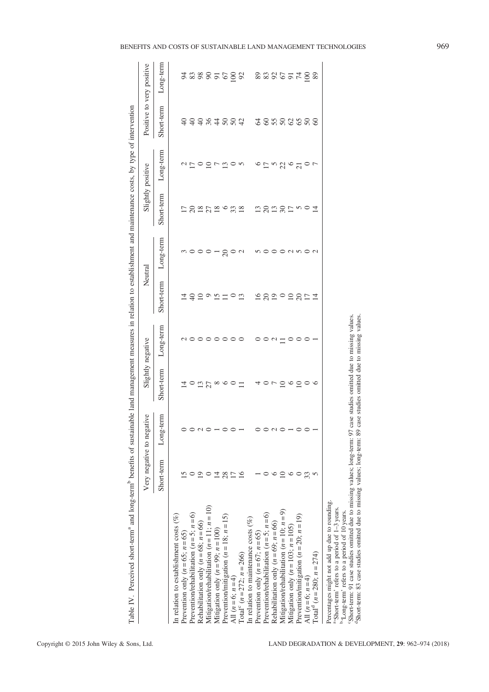|                                                                                                                                      | Very negative to neg | rative    |                   | Slightly negative                           | Neutral         |                   |                 | Slightly positive |                | Positive to very positive |
|--------------------------------------------------------------------------------------------------------------------------------------|----------------------|-----------|-------------------|---------------------------------------------|-----------------|-------------------|-----------------|-------------------|----------------|---------------------------|
|                                                                                                                                      | Short-term           | Long-term | Short-term        | Long-term                                   | Short-term      | Long-term         | Short-term      | Long-term         | Short-term     | Long-term                 |
| In relation to establishment costs $(\%$ )                                                                                           |                      |           |                   |                                             |                 |                   |                 |                   |                |                           |
| Prevention only $(n = 65; n = 65)$                                                                                                   |                      |           |                   |                                             |                 |                   |                 |                   |                |                           |
| Prevention/rehabilitation $(n = 5; n = 6)$                                                                                           |                      |           | $\circ$           |                                             | $\overline{40}$ | $\circ$           | $\infty$        |                   |                | 228855                    |
| Rehabilitation only $(n = 68; n = 66)$                                                                                               |                      |           |                   | $\circ$                                     | $\supseteq$     |                   | $\frac{8}{18}$  |                   |                |                           |
| Mitigation/rehabilitation $(n = 11; n = 10)$                                                                                         |                      |           | $\frac{13}{27}$   | ○                                           | $\circ$         | $\circ$           |                 | $\supseteq$       | 33%4883        |                           |
| Mitigation only $(n = 99; n = 100)$                                                                                                  | 4                    |           |                   | ○                                           | $\overline{15}$ |                   | 2780            | $\overline{r}$    |                |                           |
| Prevention/mitigation ( $n = 18$ ; $n = 15$ )                                                                                        | 28                   |           | $\infty$ $\infty$ | $\circ$                                     | $\Box$          | $\Omega$          |                 | $\mathfrak{L}$    |                |                           |
| All $(n = 6; n = 4)$                                                                                                                 |                      |           |                   | $\circ$                                     | $\circ$         | $\circ$           | 33              |                   |                | $\overline{6}$            |
| ['otal <sup>"</sup> $(n = 272; n = 266)$                                                                                             |                      |           | Ξ                 | ○                                           | 13              | $\mathbf{\Omega}$ | 18              | n                 |                | 92                        |
| In relation to maintenance costs $(\%)$                                                                                              |                      |           |                   |                                             |                 |                   |                 |                   |                |                           |
| Prevention only $(n = 67; n = 65)$                                                                                                   |                      |           | 4                 | 0                                           | $\overline{16}$ | 5                 | $\Xi$           | ७                 |                |                           |
| Prevention/rehabilitation $(n = 5; n = 6)$                                                                                           |                      |           | $\circ$           |                                             | $\Omega$        | $\circ$           | $\Omega$        | 17                |                |                           |
| Rehabilitation only $(n = 69; n = 66)$                                                                                               |                      |           | $\overline{ }$    | $\mathbf{\sim}$                             | $\overline{19}$ |                   | 13              | S                 |                |                           |
| Mitigation/rehabilitation $(n = 10; n = 9)$                                                                                          |                      |           | $\supseteq$       |                                             | $\circ$         |                   | 30              | 226               | <b>3852882</b> | 222557                    |
| Mitigation only $(n = 103; n = 105)$                                                                                                 |                      |           | $\circ$           |                                             | $\supseteq$     | $\sim$            | $\overline{17}$ |                   |                |                           |
| Prevention/mitigation $(n = 20; n = 19)$                                                                                             |                      |           | $\supseteq$       |                                             | $\overline{c}$  |                   | n               | $\overline{c}$    |                |                           |
| All $(n=6; n=4)$                                                                                                                     |                      |           | $\circ$           |                                             | $\overline{1}$  | $\circ$           |                 | ○                 |                | $\infty$                  |
| $\text{Total}^d$ (n = 280; n = 274)                                                                                                  |                      |           | ७                 |                                             | 그               | $\mathbf{C}$      | ↴               | Ŀ                 | 8              | 89                        |
| Percentages might not add up due to rounding.                                                                                        |                      |           |                   |                                             |                 |                   |                 |                   |                |                           |
| a Short-term' refers to a period of 1-3 years.                                                                                       |                      |           |                   |                                             |                 |                   |                 |                   |                |                           |
| Short-term: 91 case studies omitted due to missing values; long-term: 97<br><sup>b</sup> 'Long-term' refers to a period of 10 years. |                      |           |                   | case studies omitted due to missing values. |                 |                   |                 |                   |                |                           |

BENEFITS AND COSTS OF SUSTAINABLE LAND MANAGEMENT TECHNOLOGIES 969

Table IV. Perceived short-term<sup>a</sup> and long-term<sup>b</sup> benefits of sustainable land management measures in relation to establishment and maintenance costs, by type of intervention

Table IV. Perceived short-term<sup>a</sup> and long-term<sup>b</sup> benefits of sustainable land management measures in relation to establishment and maintenance costs, by type of intervention

dShort-term: 83 case studies omitted due to missing values; long-term: 89 case studies omitted due to missing values.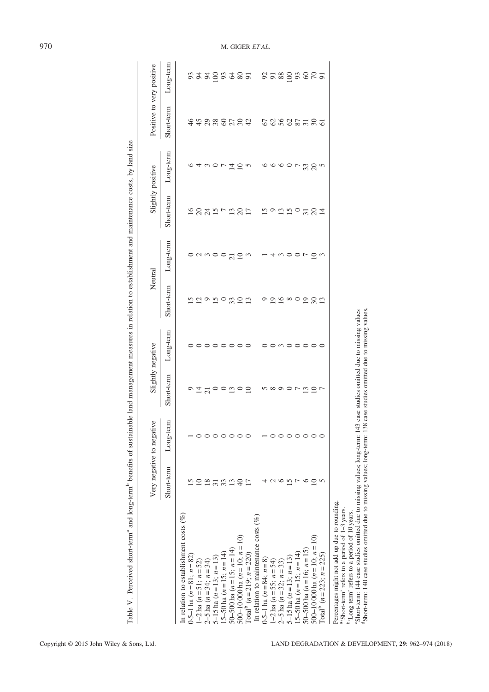|                                                                                                                                                                  |                       | Very negative to negative |                                                                                                | Slightly negative | Neutral         |                   |                           | Slightly positive |            | Positive to very positive |
|------------------------------------------------------------------------------------------------------------------------------------------------------------------|-----------------------|---------------------------|------------------------------------------------------------------------------------------------|-------------------|-----------------|-------------------|---------------------------|-------------------|------------|---------------------------|
|                                                                                                                                                                  | Short-term            | Long-term                 | Short-term                                                                                     | Long-term         | Short-term      | Long-term         | Short-term                | Long-term         | Short-term | Long-term                 |
| In relation to establishment costs $(\%$                                                                                                                         |                       |                           |                                                                                                |                   |                 |                   |                           |                   |            |                           |
| $-5-1$ ha $(n = 81; n = 82)$                                                                                                                                     |                       |                           |                                                                                                |                   |                 |                   | $\widetilde{\phantom{a}}$ | ७                 |            |                           |
| $1-2$ ha $(n = 51; n = 52)$                                                                                                                                      |                       |                           | $\begin{array}{c}\n\Xi \rightarrow 0 \\ \Xi \rightarrow 0\n\end{array}$                        |                   | $\overline{c}$  |                   | 23457                     | 4                 | 44888584   |                           |
| $2-5$ ha $(n = 34; n = 34)$                                                                                                                                      | $\frac{8}{18}$        | $\circ$                   |                                                                                                |                   |                 | $\alpha$ $\omega$ |                           | $\omega$          |            |                           |
| $5-15$ ha $(n = 13; n = 13)$                                                                                                                                     |                       |                           |                                                                                                | $\circ$           | $\frac{5}{10}$  |                   |                           |                   |            |                           |
| $15-50$ ha $(n = 15; n = 14)$                                                                                                                                    | 33                    | ○                         |                                                                                                | $\circ$           | $\circ$         | $\circ$           |                           | ŗ                 |            |                           |
| $50-500$ ha ( $n = 15$ ; $n = 14$ )                                                                                                                              | $\mathbf{r}$          | $\circ$                   |                                                                                                | $\circ$           |                 | $\overline{c}$    |                           | 츠                 |            |                           |
| 500–10000 ha $(n = 10; n = 10)$                                                                                                                                  | $\Theta$              | $\circ$                   | $\circ$                                                                                        | $\circ$           | 321             | ≘                 | 1381                      | ≘                 |            |                           |
| [otal <sup>b</sup> $(n = 219; n = 220)$ ]                                                                                                                        |                       |                           | $\overline{10}$                                                                                | $\circ$           |                 | $\mathfrak{c}$    |                           | S                 |            | 232202325 2528028652      |
| In relation to maintenance costs $(\%$ )                                                                                                                         |                       |                           |                                                                                                |                   |                 |                   |                           |                   |            |                           |
| 0.5–1 ha $(n = 84; n = 8)$                                                                                                                                       |                       |                           |                                                                                                |                   | $\circ$         |                   | $\overline{15}$           | ७                 |            |                           |
| $1-2$ ha ( $n = 55$ ; $n = 54$ )                                                                                                                                 |                       |                           | 589                                                                                            |                   |                 |                   | $\circ$                   | $\circ$           |            |                           |
| $2-5$ ha $(n = 32; n = 33)$                                                                                                                                      | ७                     |                           |                                                                                                | $\epsilon$        | 9900            | $\omega$          | 13                        | $\circ$           |            |                           |
| $5-15$ ha $(n = 13; n = 13)$                                                                                                                                     | $\tilde{\mathcal{L}}$ | $\circ$                   | $\circ$                                                                                        | $\circ$           |                 |                   | 15                        | $\circ$           |            |                           |
| $15-50$ ha $(n = 15; n = 14)$                                                                                                                                    |                       | ○                         | Ŀ                                                                                              | $\circ$           |                 |                   |                           |                   |            |                           |
| $50-500$ ha $(n=16; n=15)$                                                                                                                                       |                       | $\circ$                   | $\mathbf{r}$                                                                                   | $\circ$           | $\overline{19}$ |                   | $\overline{31}$           | 33 <sub>0</sub>   | 68885585   |                           |
| 500–10000 ha $(n = 10; n = 10)$                                                                                                                                  |                       | $\circ$                   | $\overline{0}$                                                                                 | $\circ$           | 30              | $\supseteq$       | $\overline{c}$            |                   |            |                           |
| Fotal <sup>o</sup> $(n = 223; n = 225)$                                                                                                                          |                       |                           |                                                                                                |                   | ≌               |                   | 그                         | S                 |            |                           |
| Percentages might not add up due to rounding.                                                                                                                    |                       |                           |                                                                                                |                   |                 |                   |                           |                   |            |                           |
| a Short-term' refers to a period of 1-3 years.<br><sup>b</sup> 'Long-term' refers to a period of 10 years.                                                       |                       |                           |                                                                                                |                   |                 |                   |                           |                   |            |                           |
| 'Short-term: 144 case studies omitted due to missing values; long-term: 1<br><sup>d</sup> Short-term: 140 case studies omitted due to missing values; long-term: |                       |                           | 38 case studies omitted due to missing values<br>43 case studies omitted due to missing values |                   |                 |                   |                           |                   |            |                           |
|                                                                                                                                                                  |                       |                           |                                                                                                |                   |                 |                   |                           |                   |            |                           |

Table V. Perceived short-term<sup>a</sup> and long-term<sup>b</sup> benefits of sustainable land management measures in relation to establishment and maintenance costs, by land size Table V. Perceived short-term<sup>a</sup> and long-term<sup>b</sup> benefits of sustainable land management measures in relation to establishment and maintenance costs, by land size

# 970 M. GIGER *ET AL.*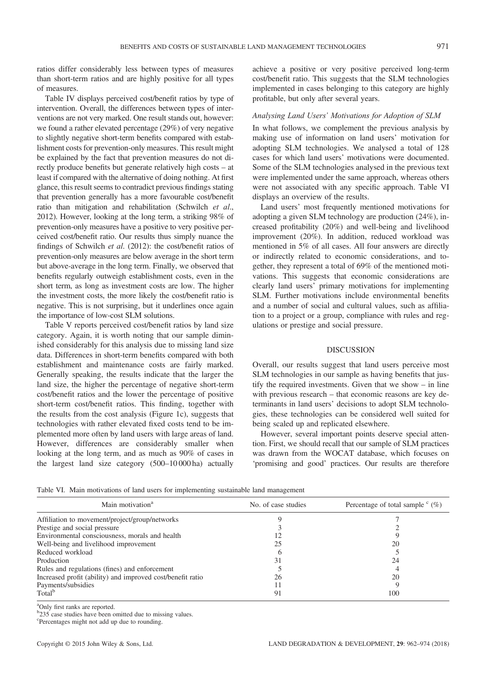ratios differ considerably less between types of measures than short-term ratios and are highly positive for all types of measures.

Table IV displays perceived cost/benefit ratios by type of intervention. Overall, the differences between types of interventions are not very marked. One result stands out, however: we found a rather elevated percentage (29%) of very negative to slightly negative short-term benefits compared with establishment costs for prevention-only measures. This result might be explained by the fact that prevention measures do not directly produce benefits but generate relatively high costs – at least if compared with the alternative of doing nothing. At first glance, this result seems to contradict previous findings stating that prevention generally has a more favourable cost/benefit ratio than mitigation and rehabilitation (Schwilch *et al*., 2012). However, looking at the long term, a striking 98% of prevention-only measures have a positive to very positive perceived cost/benefit ratio. Our results thus simply nuance the findings of Schwilch *et al*. (2012): the cost/benefit ratios of prevention-only measures are below average in the short term but above-average in the long term. Finally, we observed that benefits regularly outweigh establishment costs, even in the short term, as long as investment costs are low. The higher the investment costs, the more likely the cost/benefit ratio is negative. This is not surprising, but it underlines once again the importance of low-cost SLM solutions.

Table V reports perceived cost/benefit ratios by land size category. Again, it is worth noting that our sample diminished considerably for this analysis due to missing land size data. Differences in short-term benefits compared with both establishment and maintenance costs are fairly marked. Generally speaking, the results indicate that the larger the land size, the higher the percentage of negative short-term cost/benefit ratios and the lower the percentage of positive short-term cost/benefit ratios. This finding, together with the results from the cost analysis (Figure 1c), suggests that technologies with rather elevated fixed costs tend to be implemented more often by land users with large areas of land. However, differences are considerably smaller when looking at the long term, and as much as 90% of cases in the largest land size category (500–10 000 ha) actually achieve a positive or very positive perceived long-term cost/benefit ratio. This suggests that the SLM technologies implemented in cases belonging to this category are highly profitable, but only after several years.

### *Analysing Land Users' Motivations for Adoption of SLM*

In what follows, we complement the previous analysis by making use of information on land users' motivation for adopting SLM technologies. We analysed a total of 128 cases for which land users' motivations were documented. Some of the SLM technologies analysed in the previous text were implemented under the same approach, whereas others were not associated with any specific approach. Table VI displays an overview of the results.

Land users' most frequently mentioned motivations for adopting a given SLM technology are production (24%), increased profitability (20%) and well-being and livelihood improvement (20%). In addition, reduced workload was mentioned in 5% of all cases. All four answers are directly or indirectly related to economic considerations, and together, they represent a total of 69% of the mentioned motivations. This suggests that economic considerations are clearly land users' primary motivations for implementing SLM. Further motivations include environmental benefits and a number of social and cultural values, such as affiliation to a project or a group, compliance with rules and regulations or prestige and social pressure.

# DISCUSSION

Overall, our results suggest that land users perceive most SLM technologies in our sample as having benefits that justify the required investments. Given that we show – in line with previous research – that economic reasons are key determinants in land users' decisions to adopt SLM technologies, these technologies can be considered well suited for being scaled up and replicated elsewhere.

However, several important points deserve special attention. First, we should recall that our sample of SLM practices was drawn from the WOCAT database, which focuses on 'promising and good' practices. Our results are therefore

Table VI. Main motivations of land users for implementing sustainable land management

| Main motivation <sup>a</sup>                               | No. of case studies | Percentage of total sample $\degree$ (%) |
|------------------------------------------------------------|---------------------|------------------------------------------|
| Affiliation to movement/project/group/networks             |                     |                                          |
| Prestige and social pressure                               |                     |                                          |
| Environmental consciousness, morals and health             |                     |                                          |
| Well-being and livelihood improvement                      | 25                  | 20                                       |
| Reduced workload                                           |                     |                                          |
| Production                                                 |                     | 24                                       |
| Rules and regulations (fines) and enforcement              |                     |                                          |
| Increased profit (ability) and improved cost/benefit ratio | 26                  | 20                                       |
| Payments/subsidies                                         |                     |                                          |
| Total <sup>b</sup>                                         | 91                  | 100                                      |

a Only first ranks are reported.

 $b$ <sup>235</sup> case studies have been omitted due to missing values.

c Percentages might not add up due to rounding.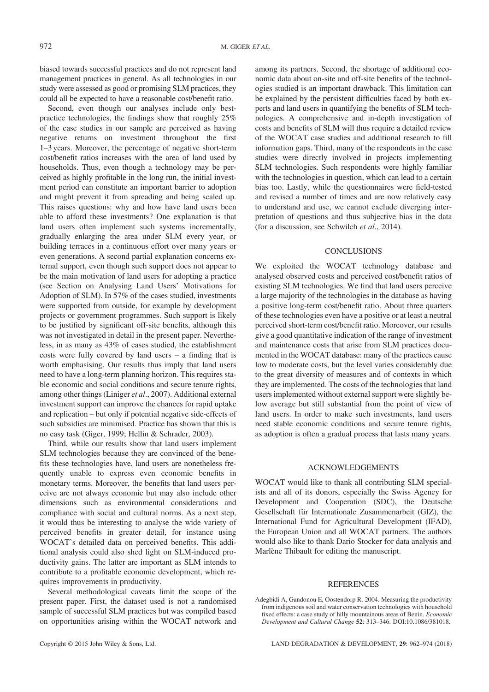biased towards successful practices and do not represent land management practices in general. As all technologies in our study were assessed as good or promising SLM practices, they could all be expected to have a reasonable cost/benefit ratio.

Second, even though our analyses include only bestpractice technologies, the findings show that roughly 25% of the case studies in our sample are perceived as having negative returns on investment throughout the first 1–3 years. Moreover, the percentage of negative short-term cost/benefit ratios increases with the area of land used by households. Thus, even though a technology may be perceived as highly profitable in the long run, the initial investment period can constitute an important barrier to adoption and might prevent it from spreading and being scaled up. This raises questions: why and how have land users been able to afford these investments? One explanation is that land users often implement such systems incrementally, gradually enlarging the area under SLM every year, or building terraces in a continuous effort over many years or even generations. A second partial explanation concerns external support, even though such support does not appear to be the main motivation of land users for adopting a practice (see Section on Analysing Land Users' Motivations for Adoption of SLM). In 57% of the cases studied, investments were supported from outside, for example by development projects or government programmes. Such support is likely to be justified by significant off-site benefits, although this was not investigated in detail in the present paper. Nevertheless, in as many as 43% of cases studied, the establishment costs were fully covered by land users – a finding that is worth emphasising. Our results thus imply that land users need to have a long-term planning horizon. This requires stable economic and social conditions and secure tenure rights, among other things (Liniger *et al*., 2007). Additional external investment support can improve the chances for rapid uptake and replication – but only if potential negative side-effects of such subsidies are minimised. Practice has shown that this is no easy task (Giger, 1999; Hellin & Schrader, 2003).

Third, while our results show that land users implement SLM technologies because they are convinced of the benefits these technologies have, land users are nonetheless frequently unable to express even economic benefits in monetary terms. Moreover, the benefits that land users perceive are not always economic but may also include other dimensions such as environmental considerations and compliance with social and cultural norms. As a next step, it would thus be interesting to analyse the wide variety of perceived benefits in greater detail, for instance using WOCAT's detailed data on perceived benefits. This additional analysis could also shed light on SLM-induced productivity gains. The latter are important as SLM intends to contribute to a profitable economic development, which requires improvements in productivity.

Several methodological caveats limit the scope of the present paper. First, the dataset used is not a randomised sample of successful SLM practices but was compiled based on opportunities arising within the WOCAT network and

among its partners. Second, the shortage of additional economic data about on-site and off-site benefits of the technologies studied is an important drawback. This limitation can be explained by the persistent difficulties faced by both experts and land users in quantifying the benefits of SLM technologies. A comprehensive and in-depth investigation of costs and benefits of SLM will thus require a detailed review of the WOCAT case studies and additional research to fill information gaps. Third, many of the respondents in the case studies were directly involved in projects implementing SLM technologies. Such respondents were highly familiar with the technologies in question, which can lead to a certain bias too. Lastly, while the questionnaires were field-tested and revised a number of times and are now relatively easy to understand and use, we cannot exclude diverging interpretation of questions and thus subjective bias in the data (for a discussion, see Schwilch *et al*., 2014).

# **CONCLUSIONS**

We exploited the WOCAT technology database and analysed observed costs and perceived cost/benefit ratios of existing SLM technologies. We find that land users perceive a large majority of the technologies in the database as having a positive long-term cost/benefit ratio. About three quarters of these technologies even have a positive or at least a neutral perceived short-term cost/benefit ratio. Moreover, our results give a good quantitative indication of the range of investment and maintenance costs that arise from SLM practices documented in the WOCAT database: many of the practices cause low to moderate costs, but the level varies considerably due to the great diversity of measures and of contexts in which they are implemented. The costs of the technologies that land users implemented without external support were slightly below average but still substantial from the point of view of land users. In order to make such investments, land users need stable economic conditions and secure tenure rights, as adoption is often a gradual process that lasts many years.

### ACKNOWLEDGEMENTS

WOCAT would like to thank all contributing SLM specialists and all of its donors, especially the Swiss Agency for Development and Cooperation (SDC), the Deutsche Gesellschaft für Internationale Zusammenarbeit (GIZ), the International Fund for Agricultural Development (IFAD), the European Union and all WOCAT partners. The authors would also like to thank Dario Stocker for data analysis and Marlène Thibault for editing the manuscript.

### **REFERENCES**

Adegbidi A, Gandonou E, Oostendorp R. 2004. Measuring the productivity from indigenous soil and water conservation technologies with household fixed effects: a case study of hilly mountainous areas of Benin. *Economic Development and Cultural Change* **52**: 313–346. DOI:[10.1086/381018.](https://doi.org/10.1086/381018)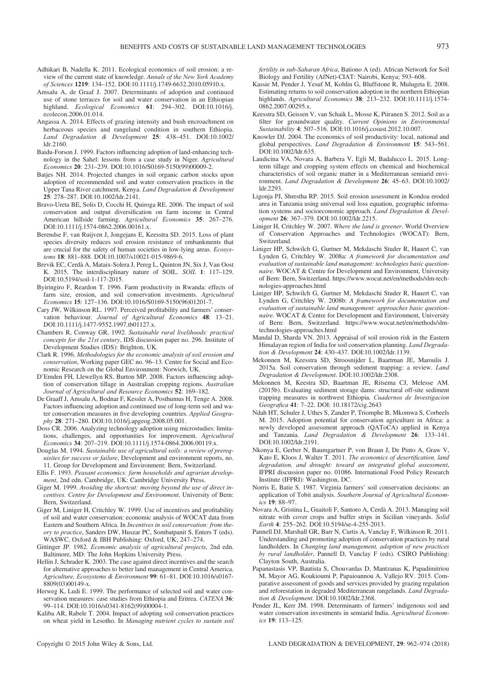- Adhikari B, Nadella K. 2011. Ecological economics of soil erosion: a review of the current state of knowledge. *Annals of the New York Academy of Sciences* **1219**: 134–152. DOI[:10.1111/j.1749-6632.2010.05910.x.](https://doi.org/10.1111/j.1749-6632.2010.05910.x)
- Amsalu A, de Graaf J. 2007. Determinants of adoption and continued use of stone terraces for soil and water conservation in an Ethiopian highland. *Ecological Economics* **61**: 294–302. DOI[:10.1016/j.](https://doi.org/10.1016/j.ecolecon.2006.01.014) [ecolecon.2006.01.014.](https://doi.org/10.1016/j.ecolecon.2006.01.014)
- Angassa A. 2014. Effects of grazing intensity and bush encroachment on herbaceous species and rangeland condition in southern Ethiopia. *Land Degradation & Development* **25**: 438–451. DOI:[10.1002/](https://doi.org/10.1002/ldr.2160) [ldr.2160.](https://doi.org/10.1002/ldr.2160)
- Baidu-Forson J. 1999. Factors influencing adoption of land-enhancing technology in the Sahel: lessons from a case study in Niger. *Agricultural Economics* **20**: 231–239. DOI[:10.1016/S0169-5150\(99\)00009-2.](https://doi.org/10.1016/S0169-5150(99)00009-2)
- Batjes NH. 2014. Projected changes in soil organic carbon stocks upon adoption of recommended soil and water conservation practices in the Upper Tana River catchment, Kenya. *Land Degradation & Development* **25**: 278–287. DOI[:10.1002/ldr.2141.](https://doi.org/10.1002/ldr.2141)
- Bravo-Ureta BE, Solis D, Cocchi H, Quiroga RE. 2006. The impact of soil conservation and output diversification on farm income in Central American hillside farming. *Agricultural Economics* **35**: 267–276. DOI[:10.1111/j.1574-0862.2006.00161.x.](https://doi.org/10.1111/j.1574-0862.2006.00161.x)
- Berendse F, van Ruijven J, Jongejans E, Keesstra SD. 2015. Loss of plant species diversity reduces soil erosion resistance of embankments that are crucial for the safety of human societies in low-lying areas. *Ecosystems* **18**: 881–888. DOI:[10.1007/s10021-015-9869-6.](https://doi.org/10.1007/s10021-015-9869-6)
- Brevik EC, Cerdà A, Mataix-Solera J, Pereg L, Quinton JN, Six J, Van Oost K. 2015. The interdisciplinary nature of SOIL. *SOIL* **1**: 117–129. DOI[:10.5194/soil-1-117-2015.](https://doi.org/10.5194/soil-1-117-2015)
- Byiringiro F, Reardon T. 1996. Farm productivity in Rwanda: effects of farm size, erosion, and soil conservation investments. *Agricultural Economics* **15**: 127–136. DOI[:10.1016/S0169-5150\(96\)01201-7.](https://doi.org/10.1016/S0169-5150(96)01201-7)
- Cary JW, Wilkinson RL. 1997. Perceived profitability and farmers' conservation behaviour. *Journal of Agricultural Economics* **48**: 13–21. DOI[:10.1111/j.1477-9552.1997.tb01127.x.](https://doi.org/10.1111/j.1477-9552.1997.tb01127.x)
- Chambers R, Conway GR. 1992. *Sustainable rural livelihoods: practical concepts for the 21st century*, IDS discussion paper no. 296. Institute of Development Studies (IDS): Brighton, UK.
- Clark R. 1996. *Methodologies for the economic analysis of soil erosion and conservation*, Working paper GEC no. 96–13. Centre for Social and Economic Research on the Global Environment: Norwich, UK.
- D'Emden FH, Llewellyn RS, Burton MP. 2008. Factors influencing adoption of conservation tillage in Australian cropping regions. *Australian Journal of Agricultural and Resource Economics* **52**: 169–182.
- De Graaff J, Amsalu A, Bodnar F, Kessler A, Posthumus H, Tenge A. 2008. Factors influencing adoption and continued use of long-term soil and water conservation measures in five developing countries. *Applied Geography* **28**: 271–280. DOI:[10.1016/j.apgeog.2008.05.001.](https://doi.org/10.1016/j.apgeog.2008.05.001)
- Doss CR. 2006. Analyzing technology adoption using microstudies: limitations, challenges, and opportunities for improvement. *Agricultural Economics* **34**: 207–219. DOI[:10.1111/j.1574-0864.2006.00119.x.](https://doi.org/10.1111/j.1574-0864.2006.00119.x)
- Douglas M. 1994. *Sustainable use of agricultural soils: a review of prerequisites for success or failure*, Development and environment reports, no. 11. Group for Development and Environment: Bern, Switzerland.
- Ellis F. 1993. *Peasant economics: farm households and agrarian development*, 2nd edn. Cambridge, UK: Cambridge University Press.
- Giger M. 1999. *Avoiding the shortcut: moving beyond the use of direct incentives. Centre for Development and Environment*. University of Bern: Bern, Switzerland.
- Giger M, Liniger H, Critchley W. 1999. Use of incentives and profitability of soil and water conservation: economic analysis of WOCAT data from Eastern and Southern Africa. In *Incentives in soil conservation: from theory to practice*, Sanders DW, Huszar PC, Sombatpanit S, Enters T (eds). WASWC, Oxford & IBH Publishing: Oxford, UK; 247–274.
- Gittinger JP. 1982. *Economic analysis of agricultural projects*, 2nd edn. Baltimore, MD: The John Hopkins University Press.
- Hellin J, Schrader K. 2003. The case against direct incentives and the search for alternative approaches to better land management in Central America. *Agriculture, Ecosystems & Environment* **99**: 61–81. DOI:[10.1016/s0167-](https://doi.org/10.1016/s0167-8809(03)00149-x) [8809\(03\)00149-x.](https://doi.org/10.1016/s0167-8809(03)00149-x)
- Herweg K, Ludi E. 1999. The performance of selected soil and water conservation measures: case studies from Ethiopia and Eritrea. *CATENA* **36**: 99–114. DOI:[10.1016/s0341-8162\(99\)00004-1.](https://doi.org/10.1016/s0341-8162(99)00004-1)
- Kaliba AR, Rabele T. 2004. Impact of adopting soil conservation practices on wheat yield in Lesotho. In *Managing nutrient cycles to sustain soil*

*fertility in sub-Saharan Africa*, Bationo A (ed). African Network for Soil Biology and Fertility (AfNet)-CIAT: Nairobi, Kenya; 593–608.

- Kassie M, Pender J, Yesuf M, Kohlin G, Bluffstone R, Mulugeta E. 2008. Estimating returns to soil conservation adoption in the northern Ethiopian highlands. *Agricultural Economics* **38**: 213–232. DOI[:10.1111/j.1574-](https://doi.org/10.1111/j.1574-0862.2007.00295.x) [0862.2007.00295.x.](https://doi.org/10.1111/j.1574-0862.2007.00295.x)
- Keesstra SD, Geissen V, van Schaik L, Mosse K, Piiranen S. 2012. Soil as a filter for groundwater quality. *Current Opinions in Environmental Sustainability* **4**: 507–516. DOI[:10.1016/j.cosust.2012.10.007.](https://doi.org/10.1016/j.cosust.2012.10.007)
- Knowler DJ. 2004. The economics of soil productivity: local, national and global perspectives. *Land Degradation & Environment* **15**: 543–561. DOI:[10.1002/ldr.635.](https://doi.org/10.1002/ldr.635)
- Laudicina VA, Novara A, Barbera V, Egli M, Badalucco L. 2015. Longterm tillage and cropping system effects on chemical and biochemical characteristics of soil organic matter in a Mediterranean semiarid environment. *Land Degradation & Development* **26**: 45–63. DOI:[10.1002/](https://doi.org/10.1002/ldr.2293) [ldr.2293.](https://doi.org/10.1002/ldr.2293)
- Ligonja PJ, Shrestha RP. 2015. Soil erosion assessment in Kondoa eroded area in Tanzania using universal soil loss equation, geographic information systems and socioeconomic approach. *Land Degradation & Development* **26**: 367–379. DOI[:10.1002/ldr.2215.](https://doi.org/10.1002/ldr.2215)
- Liniger H, Critchley W. 2007. *Where the land is greener*. World Overview of Conservation Approaches and Technologies (WOCAT): Bern, Switzerland.
- Liniger HP, Schwilch G, Gurtner M, Mekdaschi Studer R, Hauert C, van Lynden G, Critchley W. 2008a: *A framework for documentation and evaluation of sustainable land management: technologies basic questionnaire*. WOCAT & Centre for Development and Environment, University of Bern: Bern, Switzerland. [https://www.wocat.net/en/methods/slm-tech](https://www.wocat.net/en/methods/slm-technologies-approaches.html)[nologies-approaches.html](https://www.wocat.net/en/methods/slm-technologies-approaches.html)
- Liniger HP, Schwilch G, Gurtner M, Mekdaschi Studer R, Hauert C, van Lynden G, Critchley W. 2008b: *A framework for documentation and evaluation of sustainable land management: approaches basic questionnaire*. WOCAT & Centre for Development and Environment, University of Bern: Bern, Switzerland. [https://www.wocat.net/en/methods/slm](https://www.wocat.net/en/methods/slm-technologies-approaches.html)[technologies-approaches.html](https://www.wocat.net/en/methods/slm-technologies-approaches.html)
- Mandal D, Sharda VN. 2013. Appraisal of soil erosion risk in the Eastern Himalayan region of India for soil conservation planning. *Land Degradation & Development* **24**: 430–437. DOI:[10.1002/ldr.1139.](https://doi.org/10.1002/ldr.1139)
- Mekonnen M, Keesstra SD, Stroosnijder L, Baartman JE, Maroulis J. 2015a. Soil conservation through sediment trapping: a review. *Land Degradation & Development*. DOI[:10.1002/ldr.2308.](https://doi.org/10.1002/ldr.2308)
- Mekonnen M, Keestra SD, Baartman JE, Ritsema CJ, Melesse AM. (2015b). Evaluating sediment storage dams: structural off-site sediment trapping measures in northwest Ethiopia. *Cuadernos de Investigacion Geografica* **41**: 7–22. DOI: [10.18172/cig.2643](https://doi.org/10.18172/cig.2643)
- Ndah HT, Schuler J, Uthes S, Zander P, Triomphe B, Mkomwa S, Corbeels M. 2015. Adoption potential for conservation agriculture in Africa: a newly developed assessment approach (QAToCA) applied in Kenya and Tanzania. *Land Degradation & Development* **26**: 133–141. DOI:[10.1002/ldr.2191.](https://doi.org/10.1002/ldr.2191)
- Nkonya E, Gerber N, Baumgartner P, von Braun J, De Pinto A, Graw V, Kato E, Kloos J, Walter T. 2011. *The economics of desertification, land degradation, and drought: toward an integrated global assessment*, IFPRI discussion paper no. 01086. International Food Policy Research Institute (IFPRI): Washington, DC.
- Norris E, Batie S. 1987. Virginia farmers' soil conservation decisions: an application of Tobit analysis. *Southern Journal of Agricultural Economics* **19**: 88–97.
- Novara A, Gristina L, Guaitoli F, Santoro A, Cerdà A. 2013. Managing soil nitrate with cover crops and buffer strips in Sicilian vineyards. *Solid Earth* **4**: 255–262. DOI[:10.5194/se-4-255-2013.](https://doi.org/10.5194/se-4-255-2013)
- Pannell DJ, Marshall GR, Barr N, Curtis A, Vanclay F, Wilkinson R. 2011. Understanding and promoting adoption of conservation practices by rural landholders. In *Changing land management, adoption of new practices by rural landholder*, Pannell D, Vanclay F (eds). CSIRO Publishing: Clayton South, Australia.
- Papanastasis VP, Bautista S, Chouvardas D, Mantzanas K, Papadimitriou M, Mayor AG, Koukioumi P, Papaioannou A, Vallejo RV. 2015. Comparative assessment of goods and services provided by grazing regulation and reforestation in degraded Mediterranean rangelands. *Land Degradation & Development*. DOI[:10.1002/ldr.2368.](https://doi.org/10.1002/ldr.2368)
- Pender JL, Kerr JM. 1998. Determinants of farmers' indigenous soil and water conservation investments in semiarid India. *Agricultural Economics* **19**: 113–125.